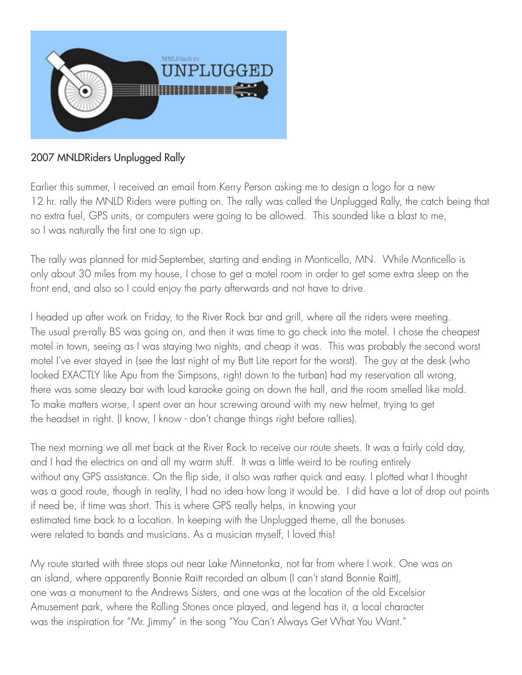

## 2007 MNLDRiders Unplugged Rally

Earlier this summer, I received an email from Kerry Person asking me to design a logo for a new 12 hr. rally the MNLD Riders were putting on. The rally was called the Unplugged Rally, the catch being that no extra fuel, GPS units, or computers were going to be allowed. This sounded like a blast to me, so I was naturally the first one to sign up.

The rally was planned for mid-September, starting and ending in Monticello, MN. While Monticello is only about 30 miles from my house, I chose to get a motel room in order to get some extra sleep on the front end, and also so I could enjoy the party afterwards and not have to drive.

I headed up after work on Friday, to the River Rock bar and grill, where all the riders were meeting. The usual pre-rally BS was going on, and then it was time to go check into the motel. I chose the cheapest motel in town, seeing as I was staying two nights, and cheap it was. This was probably the second worst motel I've ever stayed in (see the last night of my Butt Lite report for the worst). The guy at the desk (who looked EXACTLY like Apu from the Simpsons, right down to the turban) had my reservation all wrong, there was some sleazy bar with loud karaoke going on down the hall, and the room smelled like mold. To make matters worse, I spent over an hour screwing around with my new helmet, trying to get the headset in right. (I know, I know - don't change things right before rallies).

The next morning we all met back at the River Rock to receive our route sheets. It was a fairly cold day, and I had the electrics on and all my warm stuff. It was a little weird to be routing entirely without any GPS assistance. On the flip side, it also was rather quick and easy. I plotted what I thought was a good route, though in reality, I had no idea how long it would be. I did have a lot of drop out points if need be, if time was short. This is where GPS really helps, in knowing your estimated time back to a location. In keeping with the Unplugged theme, all the bonuses were related to bands and musicians. As a musician myself, I loved this!

My route started with three stops out near Lake Minnetonka, not far from where I work. One was on an island, where apparently Bonnie Raitt recorded an album (I can't stand Bonnie Raitt), one was a monument to the Andrews Sisters, and one was at the location of the old Excelsior Amusement park, where the Rolling Stones once played, and legend has it, a local character was the inspiration for "Mr. Jimmy" in the song "You Can't Always Get What You Want."